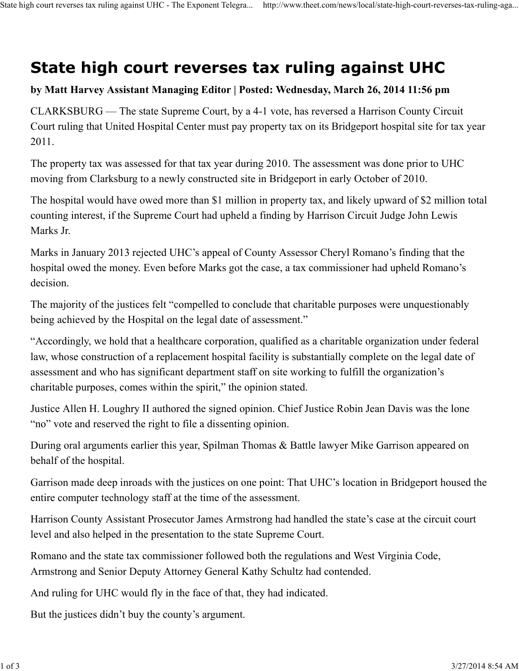## **State high court reverses tax ruling against UHC**

## **by Matt Harvey Assistant Managing Editor | Posted: Wednesday, March 26, 2014 11:56 pm**

CLARKSBURG — The state Supreme Court, by a 4-1 vote, has reversed a Harrison County Circuit Court ruling that United Hospital Center must pay property tax on its Bridgeport hospital site for tax year 2011.

The property tax was assessed for that tax year during 2010. The assessment was done prior to UHC moving from Clarksburg to a newly constructed site in Bridgeport in early October of 2010.

The hospital would have owed more than \$1 million in property tax, and likely upward of \$2 million total counting interest, if the Supreme Court had upheld a finding by Harrison Circuit Judge John Lewis Marks Jr.

Marks in January 2013 rejected UHC's appeal of County Assessor Cheryl Romano's finding that the hospital owed the money. Even before Marks got the case, a tax commissioner had upheld Romano's decision.

The majority of the justices felt "compelled to conclude that charitable purposes were unquestionably being achieved by the Hospital on the legal date of assessment."

"Accordingly, we hold that a healthcare corporation, qualified as a charitable organization under federal law, whose construction of a replacement hospital facility is substantially complete on the legal date of assessment and who has significant department staff on site working to fulfill the organization's charitable purposes, comes within the spirit," the opinion stated.

Justice Allen H. Loughry II authored the signed opinion. Chief Justice Robin Jean Davis was the lone "no" vote and reserved the right to file a dissenting opinion.

During oral arguments earlier this year, Spilman Thomas & Battle lawyer Mike Garrison appeared on behalf of the hospital.

Garrison made deep inroads with the justices on one point: That UHC's location in Bridgeport housed the entire computer technology staff at the time of the assessment.

Harrison County Assistant Prosecutor James Armstrong had handled the state's case at the circuit court level and also helped in the presentation to the state Supreme Court.

Romano and the state tax commissioner followed both the regulations and West Virginia Code, Armstrong and Senior Deputy Attorney General Kathy Schultz had contended.

And ruling for UHC would fly in the face of that, they had indicated.

But the justices didn't buy the county's argument.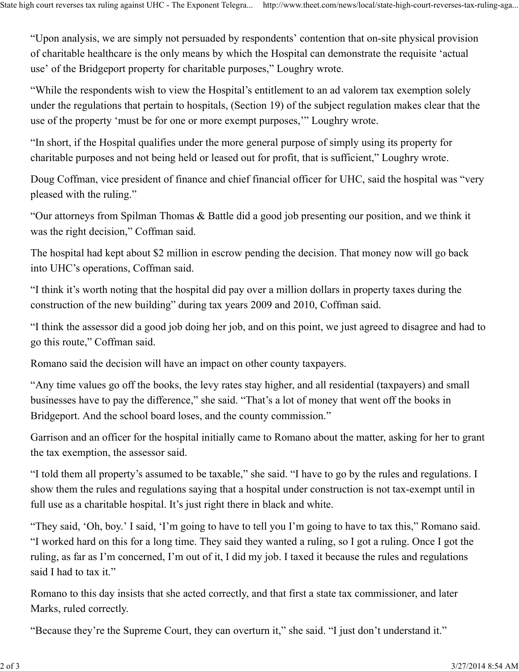"Upon analysis, we are simply not persuaded by respondents' contention that on-site physical provision of charitable healthcare is the only means by which the Hospital can demonstrate the requisite 'actual use' of the Bridgeport property for charitable purposes," Loughry wrote.

"While the respondents wish to view the Hospital's entitlement to an ad valorem tax exemption solely under the regulations that pertain to hospitals, (Section 19) of the subject regulation makes clear that the use of the property 'must be for one or more exempt purposes,'" Loughry wrote.

"In short, if the Hospital qualifies under the more general purpose of simply using its property for charitable purposes and not being held or leased out for profit, that is sufficient," Loughry wrote.

Doug Coffman, vice president of finance and chief financial officer for UHC, said the hospital was "very pleased with the ruling."

"Our attorneys from Spilman Thomas & Battle did a good job presenting our position, and we think it was the right decision," Coffman said.

The hospital had kept about \$2 million in escrow pending the decision. That money now will go back into UHC's operations, Coffman said.

"I think it's worth noting that the hospital did pay over a million dollars in property taxes during the construction of the new building" during tax years 2009 and 2010, Coffman said.

"I think the assessor did a good job doing her job, and on this point, we just agreed to disagree and had to go this route," Coffman said.

Romano said the decision will have an impact on other county taxpayers.

"Any time values go off the books, the levy rates stay higher, and all residential (taxpayers) and small businesses have to pay the difference," she said. "That's a lot of money that went off the books in Bridgeport. And the school board loses, and the county commission."

Garrison and an officer for the hospital initially came to Romano about the matter, asking for her to grant the tax exemption, the assessor said.

"I told them all property's assumed to be taxable," she said. "I have to go by the rules and regulations. I show them the rules and regulations saying that a hospital under construction is not tax-exempt until in full use as a charitable hospital. It's just right there in black and white.

"They said, 'Oh, boy.' I said, 'I'm going to have to tell you I'm going to have to tax this," Romano said. "I worked hard on this for a long time. They said they wanted a ruling, so I got a ruling. Once I got the ruling, as far as I'm concerned, I'm out of it, I did my job. I taxed it because the rules and regulations said I had to tax it."

Romano to this day insists that she acted correctly, and that first a state tax commissioner, and later Marks, ruled correctly.

"Because they're the Supreme Court, they can overturn it," she said. "I just don't understand it."